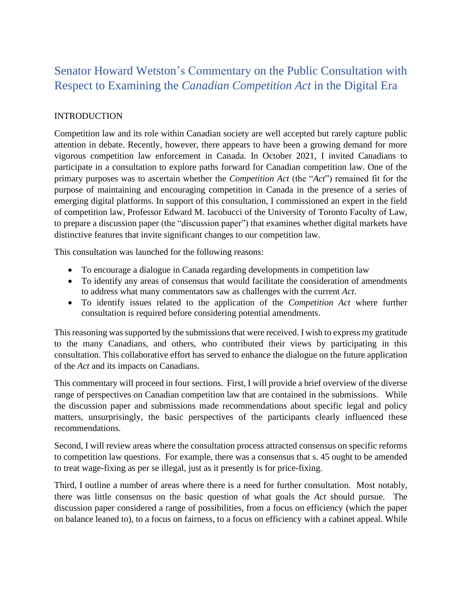# Senator Howard Wetston's Commentary on the Public Consultation with Respect to Examining the *Canadian Competition Act* in the Digital Era

## INTRODUCTION

Competition law and its role within Canadian society are well accepted but rarely capture public attention in debate. Recently, however, there appears to have been a growing demand for more vigorous competition law enforcement in Canada. In October 2021, I invited Canadians to participate in a consultation to explore paths forward for Canadian competition law. One of the primary purposes was to ascertain whether the *Competition Act* (the "*Act*") remained fit for the purpose of maintaining and encouraging competition in Canada in the presence of a series of emerging digital platforms. In support of this consultation, I commissioned an expert in the field of competition law, Professor Edward M. Iacobucci of the University of Toronto Faculty of Law, to prepare a discussion paper (the "discussion paper") that examines whether digital markets have distinctive features that invite significant changes to our competition law.

This consultation was launched for the following reasons:

- To encourage a dialogue in Canada regarding developments in competition law
- To identify any areas of consensus that would facilitate the consideration of amendments to address what many commentators saw as challenges with the current *Act*.
- To identify issues related to the application of the *Competition Act* where further consultation is required before considering potential amendments.

This reasoning was supported by the submissions that were received. I wish to express my gratitude to the many Canadians, and others, who contributed their views by participating in this consultation. This collaborative effort has served to enhance the dialogue on the future application of the *Act* and its impacts on Canadians.

This commentary will proceed in four sections. First, I will provide a brief overview of the diverse range of perspectives on Canadian competition law that are contained in the submissions. While the discussion paper and submissions made recommendations about specific legal and policy matters, unsurprisingly, the basic perspectives of the participants clearly influenced these recommendations.

Second, I will review areas where the consultation process attracted consensus on specific reforms to competition law questions. For example, there was a consensus that s. 45 ought to be amended to treat wage-fixing as per se illegal, just as it presently is for price-fixing.

Third, I outline a number of areas where there is a need for further consultation. Most notably, there was little consensus on the basic question of what goals the *Act* should pursue. The discussion paper considered a range of possibilities, from a focus on efficiency (which the paper on balance leaned to), to a focus on fairness, to a focus on efficiency with a cabinet appeal. While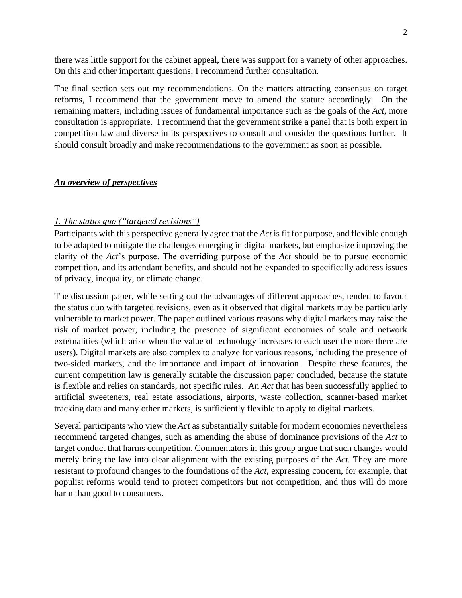there was little support for the cabinet appeal, there was support for a variety of other approaches. On this and other important questions, I recommend further consultation.

The final section sets out my recommendations. On the matters attracting consensus on target reforms, I recommend that the government move to amend the statute accordingly. On the remaining matters, including issues of fundamental importance such as the goals of the *Act*, more consultation is appropriate. I recommend that the government strike a panel that is both expert in competition law and diverse in its perspectives to consult and consider the questions further. It should consult broadly and make recommendations to the government as soon as possible.

## *An overview of perspectives*

## *1. The status quo ("targeted revisions")*

Participants with this perspective generally agree that the *Act* is fit for purpose, and flexible enough to be adapted to mitigate the challenges emerging in digital markets, but emphasize improving the clarity of the *Act*'s purpose. The overriding purpose of the *Act* should be to pursue economic competition, and its attendant benefits, and should not be expanded to specifically address issues of privacy, inequality, or climate change.

The discussion paper, while setting out the advantages of different approaches, tended to favour the status quo with targeted revisions, even as it observed that digital markets may be particularly vulnerable to market power. The paper outlined various reasons why digital markets may raise the risk of market power, including the presence of significant economies of scale and network externalities (which arise when the value of technology increases to each user the more there are users). Digital markets are also complex to analyze for various reasons, including the presence of two-sided markets, and the importance and impact of innovation. Despite these features, the current competition law is generally suitable the discussion paper concluded, because the statute is flexible and relies on standards, not specific rules. An *Act* that has been successfully applied to artificial sweeteners, real estate associations, airports, waste collection, scanner-based market tracking data and many other markets, is sufficiently flexible to apply to digital markets.

Several participants who view the *Act* as substantially suitable for modern economies nevertheless recommend targeted changes, such as amending the abuse of dominance provisions of the *Act* to target conduct that harms competition. Commentators in this group argue that such changes would merely bring the law into clear alignment with the existing purposes of the *Act*. They are more resistant to profound changes to the foundations of the *Act*, expressing concern, for example, that populist reforms would tend to protect competitors but not competition, and thus will do more harm than good to consumers.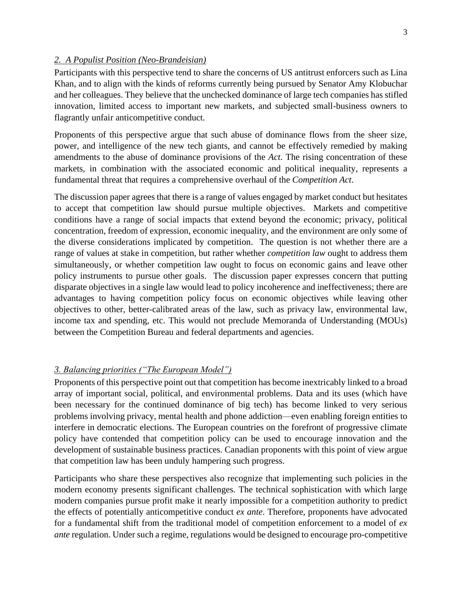## *2. A Populist Position (Neo-Brandeisian)*

Participants with this perspective tend to share the concerns of US antitrust enforcers such as Lina Khan, and to align with the kinds of reforms currently being pursued by Senator Amy Klobuchar and her colleagues. They believe that the unchecked dominance of large tech companies has stifled innovation, limited access to important new markets, and subjected small-business owners to flagrantly unfair anticompetitive conduct.

Proponents of this perspective argue that such abuse of dominance flows from the sheer size, power, and intelligence of the new tech giants, and cannot be effectively remedied by making amendments to the abuse of dominance provisions of the *Act*. The rising concentration of these markets, in combination with the associated economic and political inequality, represents a fundamental threat that requires a comprehensive overhaul of the *Competition Act*.

The discussion paper agrees that there is a range of values engaged by market conduct but hesitates to accept that competition law should pursue multiple objectives. Markets and competitive conditions have a range of social impacts that extend beyond the economic; privacy, political concentration, freedom of expression, economic inequality, and the environment are only some of the diverse considerations implicated by competition. The question is not whether there are a range of values at stake in competition, but rather whether *competition law* ought to address them simultaneously, or whether competition law ought to focus on economic gains and leave other policy instruments to pursue other goals. The discussion paper expresses concern that putting disparate objectives in a single law would lead to policy incoherence and ineffectiveness; there are advantages to having competition policy focus on economic objectives while leaving other objectives to other, better-calibrated areas of the law, such as privacy law, environmental law, income tax and spending, etc. This would not preclude Memoranda of Understanding (MOUs) between the Competition Bureau and federal departments and agencies.

## *3. Balancing priorities ("The European Model")*

Proponents of this perspective point out that competition has become inextricably linked to a broad array of important social, political, and environmental problems. Data and its uses (which have been necessary for the continued dominance of big tech) has become linked to very serious problems involving privacy, mental health and phone addiction—even enabling foreign entities to interfere in democratic elections. The European countries on the forefront of progressive climate policy have contended that competition policy can be used to encourage innovation and the development of sustainable business practices. Canadian proponents with this point of view argue that competition law has been unduly hampering such progress.

Participants who share these perspectives also recognize that implementing such policies in the modern economy presents significant challenges. The technical sophistication with which large modern companies pursue profit make it nearly impossible for a competition authority to predict the effects of potentially anticompetitive conduct *ex ante*. Therefore, proponents have advocated for a fundamental shift from the traditional model of competition enforcement to a model of *ex ante* regulation. Under such a regime, regulations would be designed to encourage pro-competitive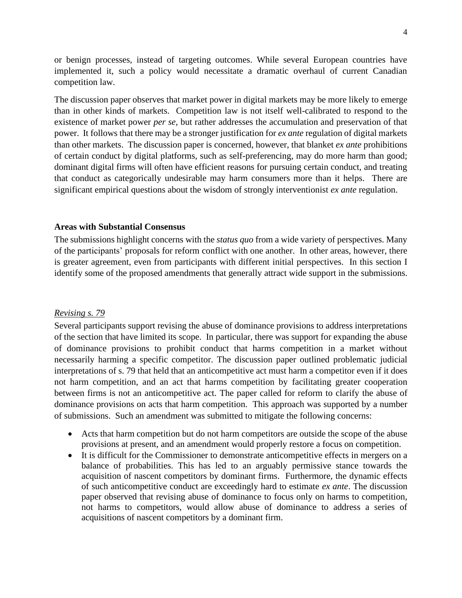or benign processes, instead of targeting outcomes. While several European countries have implemented it, such a policy would necessitate a dramatic overhaul of current Canadian competition law.

The discussion paper observes that market power in digital markets may be more likely to emerge than in other kinds of markets. Competition law is not itself well-calibrated to respond to the existence of market power *per se*, but rather addresses the accumulation and preservation of that power. It follows that there may be a stronger justification for *ex ante* regulation of digital markets than other markets. The discussion paper is concerned, however, that blanket *ex ante* prohibitions of certain conduct by digital platforms, such as self-preferencing, may do more harm than good; dominant digital firms will often have efficient reasons for pursuing certain conduct, and treating that conduct as categorically undesirable may harm consumers more than it helps. There are significant empirical questions about the wisdom of strongly interventionist *ex ante* regulation.

## **Areas with Substantial Consensus**

The submissions highlight concerns with the *status quo* from a wide variety of perspectives. Many of the participants' proposals for reform conflict with one another. In other areas, however, there is greater agreement, even from participants with different initial perspectives. In this section I identify some of the proposed amendments that generally attract wide support in the submissions.

## *Revising s. 79*

Several participants support revising the abuse of dominance provisions to address interpretations of the section that have limited its scope. In particular, there was support for expanding the abuse of dominance provisions to prohibit conduct that harms competition in a market without necessarily harming a specific competitor. The discussion paper outlined problematic judicial interpretations of s. 79 that held that an anticompetitive act must harm a competitor even if it does not harm competition, and an act that harms competition by facilitating greater cooperation between firms is not an anticompetitive act. The paper called for reform to clarify the abuse of dominance provisions on acts that harm competition. This approach was supported by a number of submissions. Such an amendment was submitted to mitigate the following concerns:

- Acts that harm competition but do not harm competitors are outside the scope of the abuse provisions at present, and an amendment would properly restore a focus on competition.
- It is difficult for the Commissioner to demonstrate anticompetitive effects in mergers on a balance of probabilities. This has led to an arguably permissive stance towards the acquisition of nascent competitors by dominant firms. Furthermore, the dynamic effects of such anticompetitive conduct are exceedingly hard to estimate *ex ante*. The discussion paper observed that revising abuse of dominance to focus only on harms to competition, not harms to competitors, would allow abuse of dominance to address a series of acquisitions of nascent competitors by a dominant firm.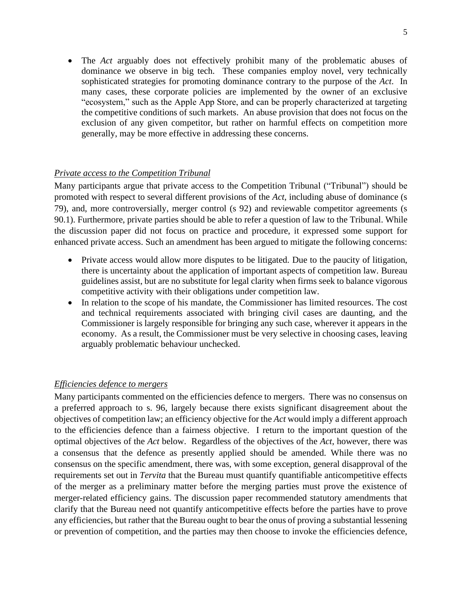• The *Act* arguably does not effectively prohibit many of the problematic abuses of dominance we observe in big tech. These companies employ novel, very technically sophisticated strategies for promoting dominance contrary to the purpose of the *Act*. In many cases, these corporate policies are implemented by the owner of an exclusive "ecosystem," such as the Apple App Store, and can be properly characterized at targeting the competitive conditions of such markets. An abuse provision that does not focus on the exclusion of any given competitor, but rather on harmful effects on competition more generally, may be more effective in addressing these concerns.

## *Private access to the Competition Tribunal*

Many participants argue that private access to the Competition Tribunal ("Tribunal") should be promoted with respect to several different provisions of the *Act*, including abuse of dominance (s 79), and, more controversially, merger control (s 92) and reviewable competitor agreements (s 90.1). Furthermore, private parties should be able to refer a question of law to the Tribunal. While the discussion paper did not focus on practice and procedure, it expressed some support for enhanced private access. Such an amendment has been argued to mitigate the following concerns:

- Private access would allow more disputes to be litigated. Due to the paucity of litigation, there is uncertainty about the application of important aspects of competition law. Bureau guidelines assist, but are no substitute for legal clarity when firms seek to balance vigorous competitive activity with their obligations under competition law.
- In relation to the scope of his mandate, the Commissioner has limited resources. The cost and technical requirements associated with bringing civil cases are daunting, and the Commissioner is largely responsible for bringing any such case, wherever it appears in the economy. As a result, the Commissioner must be very selective in choosing cases, leaving arguably problematic behaviour unchecked.

## *Efficiencies defence to mergers*

Many participants commented on the efficiencies defence to mergers. There was no consensus on a preferred approach to s. 96, largely because there exists significant disagreement about the objectives of competition law; an efficiency objective for the *Act* would imply a different approach to the efficiencies defence than a fairness objective. I return to the important question of the optimal objectives of the *Act* below. Regardless of the objectives of the *Act*, however, there was a consensus that the defence as presently applied should be amended. While there was no consensus on the specific amendment, there was, with some exception, general disapproval of the requirements set out in *Tervita* that the Bureau must quantify quantifiable anticompetitive effects of the merger as a preliminary matter before the merging parties must prove the existence of merger-related efficiency gains. The discussion paper recommended statutory amendments that clarify that the Bureau need not quantify anticompetitive effects before the parties have to prove any efficiencies, but rather that the Bureau ought to bear the onus of proving a substantial lessening or prevention of competition, and the parties may then choose to invoke the efficiencies defence,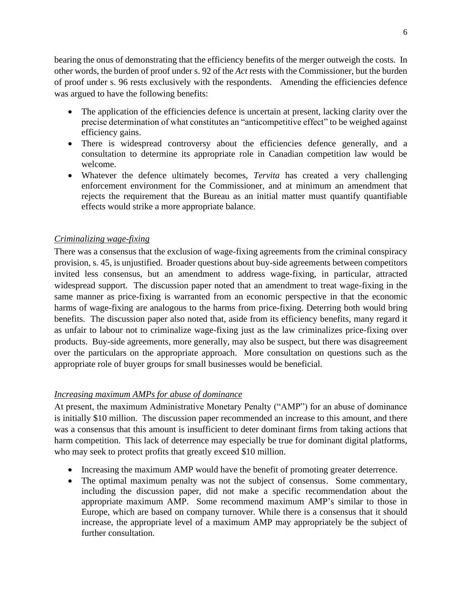bearing the onus of demonstrating that the efficiency benefits of the merger outweigh the costs. In other words, the burden of proof under s. 92 of the *Act* rests with the Commissioner, but the burden of proof under s. 96 rests exclusively with the respondents. Amending the efficiencies defence was argued to have the following benefits:

- The application of the efficiencies defence is uncertain at present, lacking clarity over the precise determination of what constitutes an "anticompetitive effect" to be weighed against efficiency gains.
- There is widespread controversy about the efficiencies defence generally, and a consultation to determine its appropriate role in Canadian competition law would be welcome.
- Whatever the defence ultimately becomes, *Tervita* has created a very challenging enforcement environment for the Commissioner, and at minimum an amendment that rejects the requirement that the Bureau as an initial matter must quantify quantifiable effects would strike a more appropriate balance.

## *Criminalizing wage-fixing*

There was a consensus that the exclusion of wage-fixing agreements from the criminal conspiracy provision, s. 45, is unjustified. Broader questions about buy-side agreements between competitors invited less consensus, but an amendment to address wage-fixing, in particular, attracted widespread support. The discussion paper noted that an amendment to treat wage-fixing in the same manner as price-fixing is warranted from an economic perspective in that the economic harms of wage-fixing are analogous to the harms from price-fixing. Deterring both would bring benefits. The discussion paper also noted that, aside from its efficiency benefits, many regard it as unfair to labour not to criminalize wage-fixing just as the law criminalizes price-fixing over products. Buy-side agreements, more generally, may also be suspect, but there was disagreement over the particulars on the appropriate approach. More consultation on questions such as the appropriate role of buyer groups for small businesses would be beneficial.

## *Increasing maximum AMPs for abuse of dominance*

At present, the maximum Administrative Monetary Penalty ("AMP") for an abuse of dominance is initially \$10 million. The discussion paper recommended an increase to this amount, and there was a consensus that this amount is insufficient to deter dominant firms from taking actions that harm competition. This lack of deterrence may especially be true for dominant digital platforms, who may seek to protect profits that greatly exceed \$10 million.

- Increasing the maximum AMP would have the benefit of promoting greater deterrence.
- The optimal maximum penalty was not the subject of consensus. Some commentary, including the discussion paper, did not make a specific recommendation about the appropriate maximum AMP. Some recommend maximum AMP's similar to those in Europe, which are based on company turnover. While there is a consensus that it should increase, the appropriate level of a maximum AMP may appropriately be the subject of further consultation.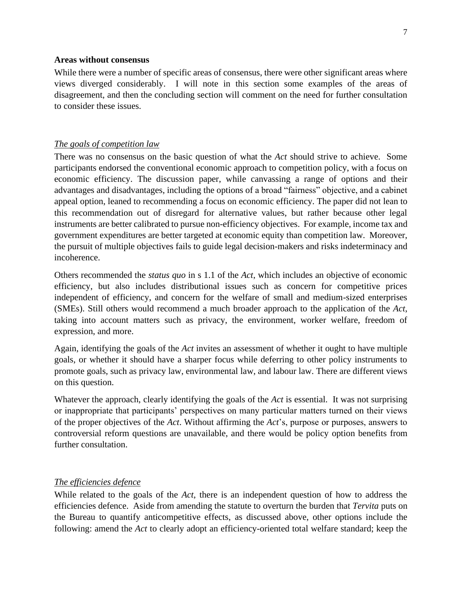#### **Areas without consensus**

While there were a number of specific areas of consensus, there were other significant areas where views diverged considerably. I will note in this section some examples of the areas of disagreement, and then the concluding section will comment on the need for further consultation to consider these issues.

#### *The goals of competition law*

There was no consensus on the basic question of what the *Act* should strive to achieve. Some participants endorsed the conventional economic approach to competition policy, with a focus on economic efficiency. The discussion paper, while canvassing a range of options and their advantages and disadvantages, including the options of a broad "fairness" objective, and a cabinet appeal option, leaned to recommending a focus on economic efficiency. The paper did not lean to this recommendation out of disregard for alternative values, but rather because other legal instruments are better calibrated to pursue non-efficiency objectives. For example, income tax and government expenditures are better targeted at economic equity than competition law. Moreover, the pursuit of multiple objectives fails to guide legal decision-makers and risks indeterminacy and incoherence.

Others recommended the *status quo* in s 1.1 of the *Act*, which includes an objective of economic efficiency, but also includes distributional issues such as concern for competitive prices independent of efficiency, and concern for the welfare of small and medium-sized enterprises (SMEs). Still others would recommend a much broader approach to the application of the *Act*, taking into account matters such as privacy, the environment, worker welfare, freedom of expression, and more.

Again, identifying the goals of the *Act* invites an assessment of whether it ought to have multiple goals, or whether it should have a sharper focus while deferring to other policy instruments to promote goals, such as privacy law, environmental law, and labour law. There are different views on this question.

Whatever the approach, clearly identifying the goals of the *Act* is essential. It was not surprising or inappropriate that participants' perspectives on many particular matters turned on their views of the proper objectives of the *Act*. Without affirming the *Act*'s, purpose or purposes, answers to controversial reform questions are unavailable, and there would be policy option benefits from further consultation.

#### *The efficiencies defence*

While related to the goals of the *Act*, there is an independent question of how to address the efficiencies defence. Aside from amending the statute to overturn the burden that *Tervita* puts on the Bureau to quantify anticompetitive effects, as discussed above, other options include the following: amend the *Act* to clearly adopt an efficiency-oriented total welfare standard; keep the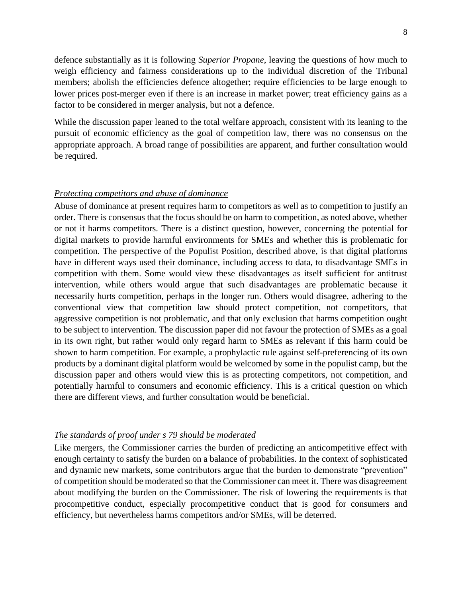defence substantially as it is following *Superior Propane*, leaving the questions of how much to weigh efficiency and fairness considerations up to the individual discretion of the Tribunal members; abolish the efficiencies defence altogether; require efficiencies to be large enough to lower prices post-merger even if there is an increase in market power; treat efficiency gains as a factor to be considered in merger analysis, but not a defence.

While the discussion paper leaned to the total welfare approach, consistent with its leaning to the pursuit of economic efficiency as the goal of competition law, there was no consensus on the appropriate approach. A broad range of possibilities are apparent, and further consultation would be required.

#### *Protecting competitors and abuse of dominance*

Abuse of dominance at present requires harm to competitors as well as to competition to justify an order. There is consensus that the focus should be on harm to competition, as noted above, whether or not it harms competitors. There is a distinct question, however, concerning the potential for digital markets to provide harmful environments for SMEs and whether this is problematic for competition. The perspective of the Populist Position, described above, is that digital platforms have in different ways used their dominance, including access to data, to disadvantage SMEs in competition with them. Some would view these disadvantages as itself sufficient for antitrust intervention, while others would argue that such disadvantages are problematic because it necessarily hurts competition, perhaps in the longer run. Others would disagree, adhering to the conventional view that competition law should protect competition, not competitors, that aggressive competition is not problematic, and that only exclusion that harms competition ought to be subject to intervention. The discussion paper did not favour the protection of SMEs as a goal in its own right, but rather would only regard harm to SMEs as relevant if this harm could be shown to harm competition. For example, a prophylactic rule against self-preferencing of its own products by a dominant digital platform would be welcomed by some in the populist camp, but the discussion paper and others would view this is as protecting competitors, not competition, and potentially harmful to consumers and economic efficiency. This is a critical question on which there are different views, and further consultation would be beneficial.

#### *The standards of proof under s 79 should be moderated*

Like mergers, the Commissioner carries the burden of predicting an anticompetitive effect with enough certainty to satisfy the burden on a balance of probabilities. In the context of sophisticated and dynamic new markets, some contributors argue that the burden to demonstrate "prevention" of competition should be moderated so that the Commissioner can meet it. There was disagreement about modifying the burden on the Commissioner. The risk of lowering the requirements is that procompetitive conduct, especially procompetitive conduct that is good for consumers and efficiency, but nevertheless harms competitors and/or SMEs, will be deterred.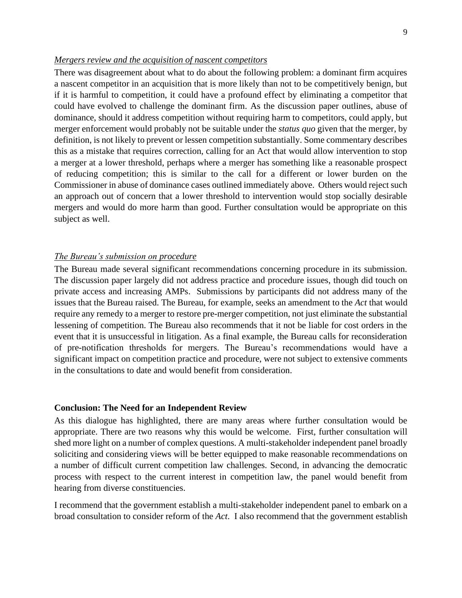#### *Mergers review and the acquisition of nascent competitors*

There was disagreement about what to do about the following problem: a dominant firm acquires a nascent competitor in an acquisition that is more likely than not to be competitively benign, but if it is harmful to competition, it could have a profound effect by eliminating a competitor that could have evolved to challenge the dominant firm. As the discussion paper outlines, abuse of dominance, should it address competition without requiring harm to competitors, could apply, but merger enforcement would probably not be suitable under the *status quo* given that the merger, by definition, is not likely to prevent or lessen competition substantially. Some commentary describes this as a mistake that requires correction, calling for an Act that would allow intervention to stop a merger at a lower threshold, perhaps where a merger has something like a reasonable prospect of reducing competition; this is similar to the call for a different or lower burden on the Commissioner in abuse of dominance cases outlined immediately above. Others would reject such an approach out of concern that a lower threshold to intervention would stop socially desirable mergers and would do more harm than good. Further consultation would be appropriate on this subject as well.

## *The Bureau's submission on procedure*

The Bureau made several significant recommendations concerning procedure in its submission. The discussion paper largely did not address practice and procedure issues, though did touch on private access and increasing AMPs. Submissions by participants did not address many of the issues that the Bureau raised. The Bureau, for example, seeks an amendment to the *Act* that would require any remedy to a merger to restore pre-merger competition, not just eliminate the substantial lessening of competition. The Bureau also recommends that it not be liable for cost orders in the event that it is unsuccessful in litigation. As a final example, the Bureau calls for reconsideration of pre-notification thresholds for mergers. The Bureau's recommendations would have a significant impact on competition practice and procedure, were not subject to extensive comments in the consultations to date and would benefit from consideration.

#### **Conclusion: The Need for an Independent Review**

As this dialogue has highlighted, there are many areas where further consultation would be appropriate. There are two reasons why this would be welcome. First, further consultation will shed more light on a number of complex questions. A multi-stakeholder independent panel broadly soliciting and considering views will be better equipped to make reasonable recommendations on a number of difficult current competition law challenges. Second, in advancing the democratic process with respect to the current interest in competition law, the panel would benefit from hearing from diverse constituencies.

I recommend that the government establish a multi-stakeholder independent panel to embark on a broad consultation to consider reform of the *Act*. I also recommend that the government establish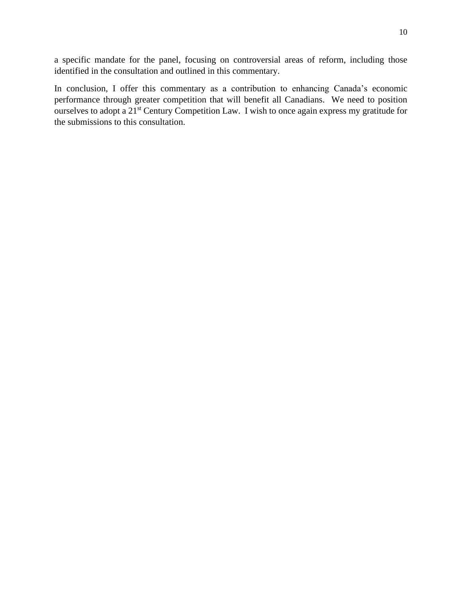a specific mandate for the panel, focusing on controversial areas of reform, including those identified in the consultation and outlined in this commentary.

In conclusion, I offer this commentary as a contribution to enhancing Canada's economic performance through greater competition that will benefit all Canadians. We need to position ourselves to adopt a 21<sup>st</sup> Century Competition Law. I wish to once again express my gratitude for the submissions to this consultation.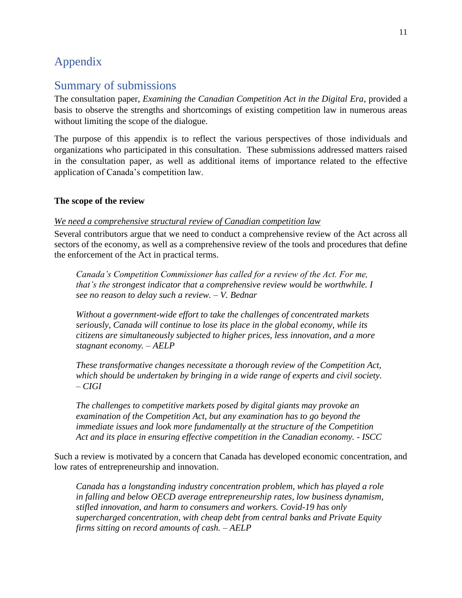## Appendix

## Summary of submissions

The consultation paper, *Examining the Canadian Competition Act in the Digital Era*, provided a basis to observe the strengths and shortcomings of existing competition law in numerous areas without limiting the scope of the dialogue.

The purpose of this appendix is to reflect the various perspectives of those individuals and organizations who participated in this consultation. These submissions addressed matters raised in the consultation paper, as well as additional items of importance related to the effective application of Canada's competition law.

## **The scope of the review**

## *We need a comprehensive structural review of Canadian competition law*

Several contributors argue that we need to conduct a comprehensive review of the Act across all sectors of the economy, as well as a comprehensive review of the tools and procedures that define the enforcement of the Act in practical terms.

*Canada's Competition Commissioner has called for a review of the Act. For me, that's the strongest indicator that a comprehensive review would be worthwhile. I see no reason to delay such a review. – V. Bednar*

*Without a government-wide effort to take the challenges of concentrated markets seriously, Canada will continue to lose its place in the global economy, while its citizens are simultaneously subjected to higher prices, less innovation, and a more stagnant economy. – AELP*

*These transformative changes necessitate a thorough review of the Competition Act, which should be undertaken by bringing in a wide range of experts and civil society. – CIGI*

*The challenges to competitive markets posed by digital giants may provoke an examination of the Competition Act, but any examination has to go beyond the immediate issues and look more fundamentally at the structure of the Competition Act and its place in ensuring effective competition in the Canadian economy. - ISCC*

Such a review is motivated by a concern that Canada has developed economic concentration, and low rates of entrepreneurship and innovation.

*Canada has a longstanding industry concentration problem, which has played a role in falling and below OECD average entrepreneurship rates, low business dynamism, stifled innovation, and harm to consumers and workers. Covid-19 has only supercharged concentration, with cheap debt from central banks and Private Equity firms sitting on record amounts of cash. – AELP*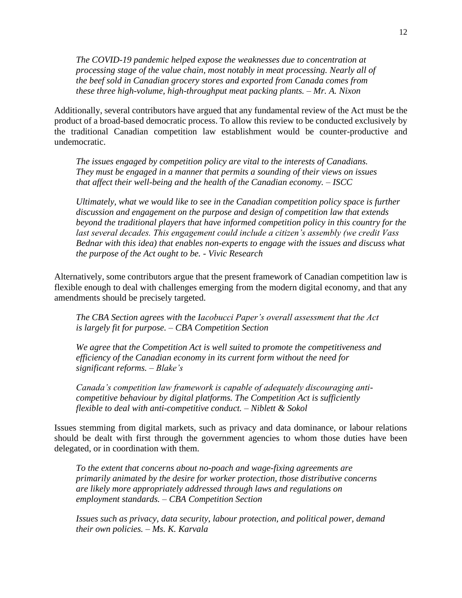*The COVID-19 pandemic helped expose the weaknesses due to concentration at processing stage of the value chain, most notably in meat processing. Nearly all of the beef sold in Canadian grocery stores and exported from Canada comes from these three high-volume, high-throughput meat packing plants. – Mr. A. Nixon*

Additionally, several contributors have argued that any fundamental review of the Act must be the product of a broad-based democratic process. To allow this review to be conducted exclusively by the traditional Canadian competition law establishment would be counter-productive and undemocratic.

*The issues engaged by competition policy are vital to the interests of Canadians. They must be engaged in a manner that permits a sounding of their views on issues that affect their well-being and the health of the Canadian economy. – ISCC* 

*Ultimately, what we would like to see in the Canadian competition policy space is further discussion and engagement on the purpose and design of competition law that extends beyond the traditional players that have informed competition policy in this country for the last several decades. This engagement could include a citizen's assembly (we credit Vass Bednar with this idea) that enables non-experts to engage with the issues and discuss what the purpose of the Act ought to be. - Vivic Research* 

Alternatively, some contributors argue that the present framework of Canadian competition law is flexible enough to deal with challenges emerging from the modern digital economy, and that any amendments should be precisely targeted.

*The CBA Section agrees with the Iacobucci Paper's overall assessment that the Act is largely fit for purpose. – CBA Competition Section*

*We agree that the Competition Act is well suited to promote the competitiveness and efficiency of the Canadian economy in its current form without the need for significant reforms. – Blake's*

*Canada's competition law framework is capable of adequately discouraging anticompetitive behaviour by digital platforms. The Competition Act is sufficiently flexible to deal with anti-competitive conduct. – Niblett & Sokol*

Issues stemming from digital markets, such as privacy and data dominance, or labour relations should be dealt with first through the government agencies to whom those duties have been delegated, or in coordination with them.

*To the extent that concerns about no-poach and wage-fixing agreements are primarily animated by the desire for worker protection, those distributive concerns are likely more appropriately addressed through laws and regulations on employment standards. – CBA Competition Section*

*Issues such as privacy, data security, labour protection, and political power, demand their own policies. – Ms. K. Karvala*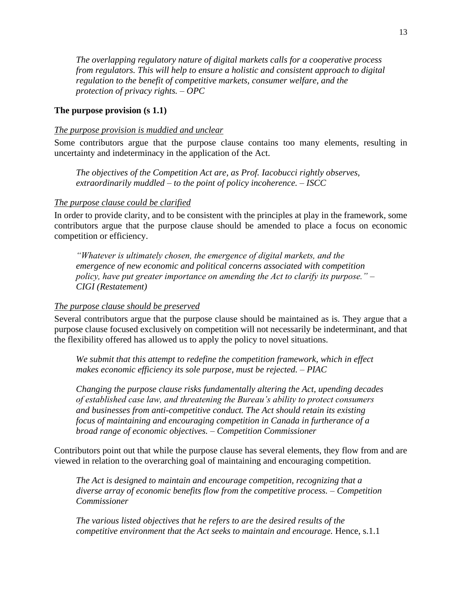*The overlapping regulatory nature of digital markets calls for a cooperative process from regulators. This will help to ensure a holistic and consistent approach to digital regulation to the benefit of competitive markets, consumer welfare, and the protection of privacy rights. – OPC* 

## **The purpose provision (s 1.1)**

## *The purpose provision is muddied and unclear*

Some contributors argue that the purpose clause contains too many elements, resulting in uncertainty and indeterminacy in the application of the Act.

*The objectives of the Competition Act are, as Prof. Iacobucci rightly observes, extraordinarily muddled – to the point of policy incoherence. – ISCC* 

#### *The purpose clause could be clarified*

In order to provide clarity, and to be consistent with the principles at play in the framework, some contributors argue that the purpose clause should be amended to place a focus on economic competition or efficiency.

*"Whatever is ultimately chosen, the emergence of digital markets, and the emergence of new economic and political concerns associated with competition policy, have put greater importance on amending the Act to clarify its purpose." – CIGI (Restatement)*

#### *The purpose clause should be preserved*

Several contributors argue that the purpose clause should be maintained as is. They argue that a purpose clause focused exclusively on competition will not necessarily be indeterminant, and that the flexibility offered has allowed us to apply the policy to novel situations.

*We submit that this attempt to redefine the competition framework, which in effect makes economic efficiency its sole purpose, must be rejected. – PIAC*

*Changing the purpose clause risks fundamentally altering the Act, upending decades of established case law, and threatening the Bureau's ability to protect consumers and businesses from anti-competitive conduct. The Act should retain its existing focus of maintaining and encouraging competition in Canada in furtherance of a broad range of economic objectives. – Competition Commissioner*

Contributors point out that while the purpose clause has several elements, they flow from and are viewed in relation to the overarching goal of maintaining and encouraging competition.

*The Act is designed to maintain and encourage competition, recognizing that a diverse array of economic benefits flow from the competitive process. – Competition Commissioner*

*The various listed objectives that he refers to are the desired results of the competitive environment that the Act seeks to maintain and encourage.* Hence, s.1.1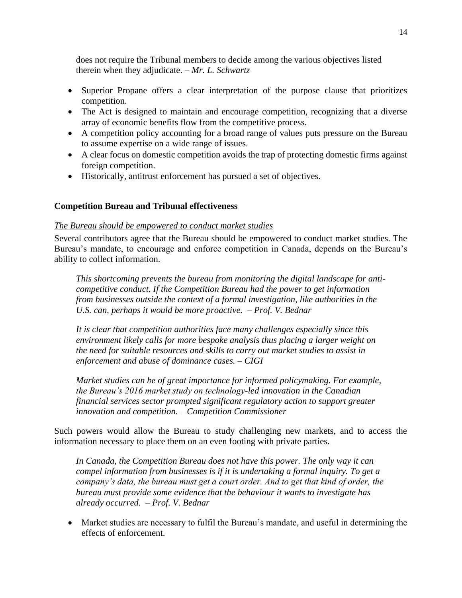does not require the Tribunal members to decide among the various objectives listed therein when they adjudicate. *– Mr. L. Schwartz*

- Superior Propane offers a clear interpretation of the purpose clause that prioritizes competition.
- The Act is designed to maintain and encourage competition, recognizing that a diverse array of economic benefits flow from the competitive process.
- A competition policy accounting for a broad range of values puts pressure on the Bureau to assume expertise on a wide range of issues.
- A clear focus on domestic competition avoids the trap of protecting domestic firms against foreign competition.
- Historically, antitrust enforcement has pursued a set of objectives.

## **Competition Bureau and Tribunal effectiveness**

## *The Bureau should be empowered to conduct market studies*

Several contributors agree that the Bureau should be empowered to conduct market studies. The Bureau's mandate, to encourage and enforce competition in Canada, depends on the Bureau's ability to collect information.

*This shortcoming prevents the bureau from monitoring the digital landscape for anticompetitive conduct. If the Competition Bureau had the power to get information from businesses outside the context of a formal investigation, like authorities in the U.S. can, perhaps it would be more proactive. – Prof. V. Bednar*

*It is clear that competition authorities face many challenges especially since this environment likely calls for more bespoke analysis thus placing a larger weight on the need for suitable resources and skills to carry out market studies to assist in enforcement and abuse of dominance cases. – CIGI* 

*Market studies can be of great importance for informed policymaking. For example, the Bureau's 2016 market study on technology-led innovation in the Canadian financial services sector prompted significant regulatory action to support greater innovation and competition. – Competition Commissioner* 

Such powers would allow the Bureau to study challenging new markets, and to access the information necessary to place them on an even footing with private parties.

*In Canada, the Competition Bureau does not have this power. The only way it can compel information from businesses is if it is undertaking a formal inquiry. To get a company's data, the bureau must get a court order. And to get that kind of order, the bureau must provide some evidence that the behaviour it wants to investigate has already occurred. – Prof. V. Bednar*

• Market studies are necessary to fulfil the Bureau's mandate, and useful in determining the effects of enforcement.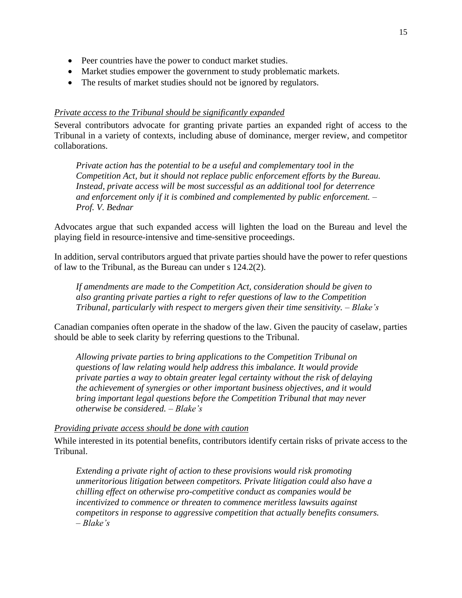- Peer countries have the power to conduct market studies.
- Market studies empower the government to study problematic markets.
- The results of market studies should not be ignored by regulators.

## *Private access to the Tribunal should be significantly expanded*

Several contributors advocate for granting private parties an expanded right of access to the Tribunal in a variety of contexts, including abuse of dominance, merger review, and competitor collaborations.

*Private action has the potential to be a useful and complementary tool in the Competition Act, but it should not replace public enforcement efforts by the Bureau. Instead, private access will be most successful as an additional tool for deterrence and enforcement only if it is combined and complemented by public enforcement. – Prof. V. Bednar*

Advocates argue that such expanded access will lighten the load on the Bureau and level the playing field in resource-intensive and time-sensitive proceedings.

In addition, serval contributors argued that private parties should have the power to refer questions of law to the Tribunal, as the Bureau can under s 124.2(2).

*If amendments are made to the Competition Act, consideration should be given to also granting private parties a right to refer questions of law to the Competition Tribunal, particularly with respect to mergers given their time sensitivity. – Blake's* 

Canadian companies often operate in the shadow of the law. Given the paucity of caselaw, parties should be able to seek clarity by referring questions to the Tribunal.

*Allowing private parties to bring applications to the Competition Tribunal on questions of law relating would help address this imbalance. It would provide private parties a way to obtain greater legal certainty without the risk of delaying the achievement of synergies or other important business objectives, and it would bring important legal questions before the Competition Tribunal that may never otherwise be considered. – Blake's* 

## *Providing private access should be done with caution*

While interested in its potential benefits, contributors identify certain risks of private access to the Tribunal.

*Extending a private right of action to these provisions would risk promoting unmeritorious litigation between competitors. Private litigation could also have a chilling effect on otherwise pro-competitive conduct as companies would be incentivized to commence or threaten to commence meritless lawsuits against competitors in response to aggressive competition that actually benefits consumers. – Blake's*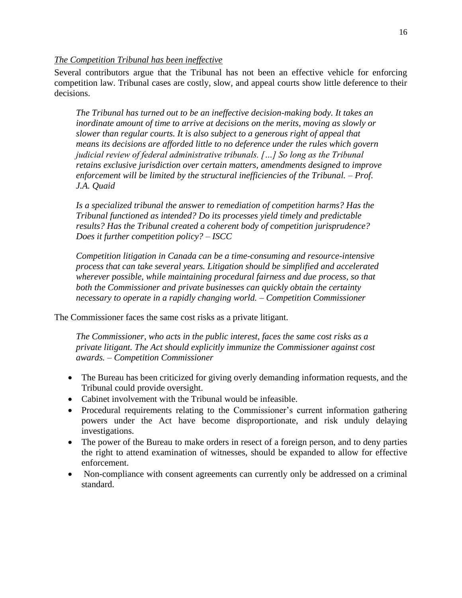*The Competition Tribunal has been ineffective*

Several contributors argue that the Tribunal has not been an effective vehicle for enforcing competition law. Tribunal cases are costly, slow, and appeal courts show little deference to their decisions.

*The Tribunal has turned out to be an ineffective decision-making body. It takes an inordinate amount of time to arrive at decisions on the merits, moving as slowly or slower than regular courts. It is also subject to a generous right of appeal that means its decisions are afforded little to no deference under the rules which govern judicial review of federal administrative tribunals. […] So long as the Tribunal retains exclusive jurisdiction over certain matters, amendments designed to improve enforcement will be limited by the structural inefficiencies of the Tribunal. – Prof. J.A. Quaid* 

*Is a specialized tribunal the answer to remediation of competition harms? Has the Tribunal functioned as intended? Do its processes yield timely and predictable results? Has the Tribunal created a coherent body of competition jurisprudence? Does it further competition policy? – ISCC*

*Competition litigation in Canada can be a time-consuming and resource-intensive process that can take several years. Litigation should be simplified and accelerated wherever possible, while maintaining procedural fairness and due process, so that both the Commissioner and private businesses can quickly obtain the certainty necessary to operate in a rapidly changing world. – Competition Commissioner* 

The Commissioner faces the same cost risks as a private litigant.

*The Commissioner, who acts in the public interest, faces the same cost risks as a private litigant. The Act should explicitly immunize the Commissioner against cost awards. – Competition Commissioner* 

- The Bureau has been criticized for giving overly demanding information requests, and the Tribunal could provide oversight.
- Cabinet involvement with the Tribunal would be infeasible.
- Procedural requirements relating to the Commissioner's current information gathering powers under the Act have become disproportionate, and risk unduly delaying investigations.
- The power of the Bureau to make orders in resect of a foreign person, and to deny parties the right to attend examination of witnesses, should be expanded to allow for effective enforcement.
- Non-compliance with consent agreements can currently only be addressed on a criminal standard.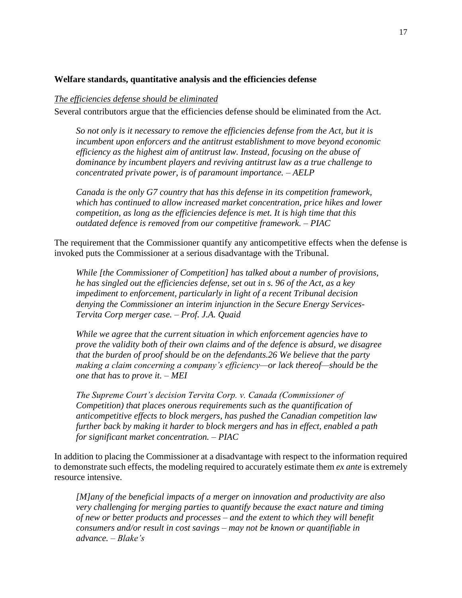## **Welfare standards, quantitative analysis and the efficiencies defense**

### *The efficiencies defense should be eliminated*

Several contributors argue that the efficiencies defense should be eliminated from the Act.

*So not only is it necessary to remove the efficiencies defense from the Act, but it is incumbent upon enforcers and the antitrust establishment to move beyond economic efficiency as the highest aim of antitrust law. Instead, focusing on the abuse of dominance by incumbent players and reviving antitrust law as a true challenge to concentrated private power, is of paramount importance. – AELP*

*Canada is the only G7 country that has this defense in its competition framework, which has continued to allow increased market concentration, price hikes and lower competition, as long as the efficiencies defence is met. It is high time that this outdated defence is removed from our competitive framework. – PIAC* 

The requirement that the Commissioner quantify any anticompetitive effects when the defense is invoked puts the Commissioner at a serious disadvantage with the Tribunal.

*While [the Commissioner of Competition] has talked about a number of provisions, he has singled out the efficiencies defense, set out in s. 96 of the Act, as a key impediment to enforcement, particularly in light of a recent Tribunal decision denying the Commissioner an interim injunction in the Secure Energy Services-Tervita Corp merger case. – Prof. J.A. Quaid*

*While we agree that the current situation in which enforcement agencies have to prove the validity both of their own claims and of the defence is absurd, we disagree that the burden of proof should be on the defendants.26 We believe that the party making a claim concerning a company's efficiency—or lack thereof—should be the one that has to prove it. – MEI* 

*The Supreme Court's decision Tervita Corp. v. Canada (Commissioner of Competition) that places onerous requirements such as the quantification of anticompetitive effects to block mergers, has pushed the Canadian competition law further back by making it harder to block mergers and has in effect, enabled a path for significant market concentration. – PIAC* 

In addition to placing the Commissioner at a disadvantage with respect to the information required to demonstrate such effects, the modeling required to accurately estimate them *ex ante* is extremely resource intensive.

*[M]any of the beneficial impacts of a merger on innovation and productivity are also very challenging for merging parties to quantify because the exact nature and timing of new or better products and processes – and the extent to which they will benefit consumers and/or result in cost savings – may not be known or quantifiable in advance. – Blake's*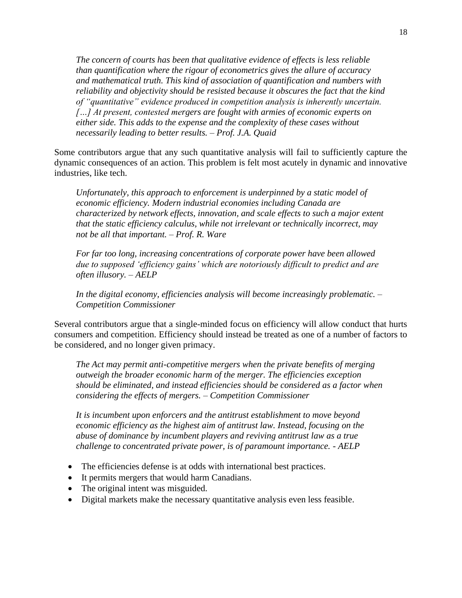*The concern of courts has been that qualitative evidence of effects is less reliable than quantification where the rigour of econometrics gives the allure of accuracy and mathematical truth. This kind of association of quantification and numbers with reliability and objectivity should be resisted because it obscures the fact that the kind of "quantitative" evidence produced in competition analysis is inherently uncertain. […] At present, contested mergers are fought with armies of economic experts on either side. This adds to the expense and the complexity of these cases without necessarily leading to better results. – Prof. J.A. Quaid* 

Some contributors argue that any such quantitative analysis will fail to sufficiently capture the dynamic consequences of an action. This problem is felt most acutely in dynamic and innovative industries, like tech.

*Unfortunately, this approach to enforcement is underpinned by a static model of economic efficiency. Modern industrial economies including Canada are characterized by network effects, innovation, and scale effects to such a major extent that the static efficiency calculus, while not irrelevant or technically incorrect, may not be all that important. – Prof. R. Ware* 

*For far too long, increasing concentrations of corporate power have been allowed due to supposed 'efficiency gains' which are notoriously difficult to predict and are often illusory. – AELP* 

*In the digital economy, efficiencies analysis will become increasingly problematic. – Competition Commissioner* 

Several contributors argue that a single-minded focus on efficiency will allow conduct that hurts consumers and competition. Efficiency should instead be treated as one of a number of factors to be considered, and no longer given primacy.

*The Act may permit anti-competitive mergers when the private benefits of merging outweigh the broader economic harm of the merger. The efficiencies exception should be eliminated, and instead efficiencies should be considered as a factor when considering the effects of mergers. – Competition Commissioner* 

*It is incumbent upon enforcers and the antitrust establishment to move beyond economic efficiency as the highest aim of antitrust law. Instead, focusing on the abuse of dominance by incumbent players and reviving antitrust law as a true challenge to concentrated private power, is of paramount importance. - AELP*

- The efficiencies defense is at odds with international best practices.
- It permits mergers that would harm Canadians.
- The original intent was misguided.
- Digital markets make the necessary quantitative analysis even less feasible.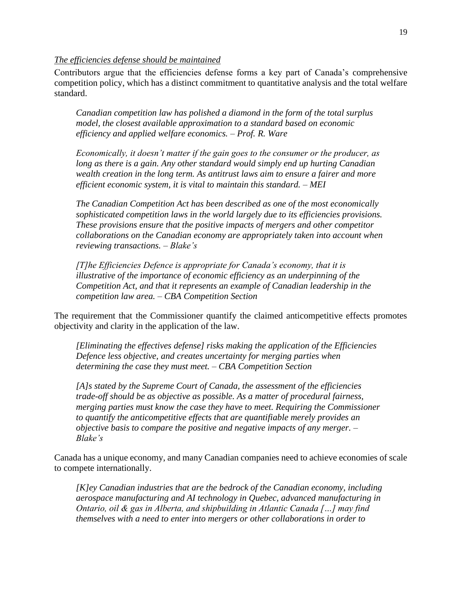*The efficiencies defense should be maintained*

Contributors argue that the efficiencies defense forms a key part of Canada's comprehensive competition policy, which has a distinct commitment to quantitative analysis and the total welfare standard.

*Canadian competition law has polished a diamond in the form of the total surplus model, the closest available approximation to a standard based on economic efficiency and applied welfare economics. – Prof. R. Ware* 

*Economically, it doesn't matter if the gain goes to the consumer or the producer, as long as there is a gain. Any other standard would simply end up hurting Canadian wealth creation in the long term. As antitrust laws aim to ensure a fairer and more efficient economic system, it is vital to maintain this standard. – MEI*

*The Canadian Competition Act has been described as one of the most economically sophisticated competition laws in the world largely due to its efficiencies provisions. These provisions ensure that the positive impacts of mergers and other competitor collaborations on the Canadian economy are appropriately taken into account when reviewing transactions. – Blake's*

*[T]he Efficiencies Defence is appropriate for Canada's economy, that it is illustrative of the importance of economic efficiency as an underpinning of the Competition Act, and that it represents an example of Canadian leadership in the competition law area. – CBA Competition Section*

The requirement that the Commissioner quantify the claimed anticompetitive effects promotes objectivity and clarity in the application of the law.

*[Eliminating the effectives defense] risks making the application of the Efficiencies Defence less objective, and creates uncertainty for merging parties when determining the case they must meet. – CBA Competition Section*

*[A]s stated by the Supreme Court of Canada, the assessment of the efficiencies trade-off should be as objective as possible. As a matter of procedural fairness, merging parties must know the case they have to meet. Requiring the Commissioner to quantify the anticompetitive effects that are quantifiable merely provides an objective basis to compare the positive and negative impacts of any merger. – Blake's*

Canada has a unique economy, and many Canadian companies need to achieve economies of scale to compete internationally.

*[K]ey Canadian industries that are the bedrock of the Canadian economy, including aerospace manufacturing and AI technology in Quebec, advanced manufacturing in Ontario, oil & gas in Alberta, and shipbuilding in Atlantic Canada […] may find themselves with a need to enter into mergers or other collaborations in order to*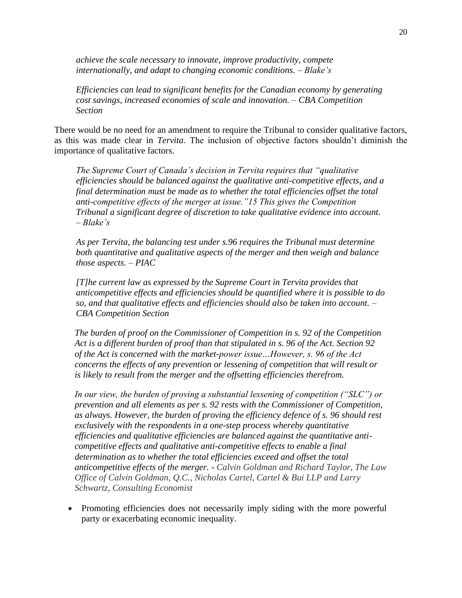*achieve the scale necessary to innovate, improve productivity, compete internationally, and adapt to changing economic conditions. – Blake's*

*Efficiencies can lead to significant benefits for the Canadian economy by generating cost savings, increased economies of scale and innovation. – CBA Competition Section* 

There would be no need for an amendment to require the Tribunal to consider qualitative factors, as this was made clear in *Tervita*. The inclusion of objective factors shouldn't diminish the importance of qualitative factors.

*The Supreme Court of Canada's decision in Tervita requires that "qualitative efficiencies should be balanced against the qualitative anti-competitive effects, and a final determination must be made as to whether the total efficiencies offset the total anti-competitive effects of the merger at issue."15 This gives the Competition Tribunal a significant degree of discretion to take qualitative evidence into account. – Blake's* 

*As per Tervita, the balancing test under s.96 requires the Tribunal must determine both quantitative and qualitative aspects of the merger and then weigh and balance those aspects. – PIAC* 

*[T]he current law as expressed by the Supreme Court in Tervita provides that anticompetitive effects and efficiencies should be quantified where it is possible to do so, and that qualitative effects and efficiencies should also be taken into account. – CBA Competition Section*

*The burden of proof on the Commissioner of Competition in s. 92 of the Competition Act is a different burden of proof than that stipulated in s. 96 of the Act. Section 92 of the Act is concerned with the market-power issue…However, s. 96 of the Act concerns the effects of any prevention or lessening of competition that will result or is likely to result from the merger and the offsetting efficiencies therefrom.*

*In our view, the burden of proving a substantial lessening of competition ("SLC") or prevention and all elements as per s. 92 rests with the Commissioner of Competition, as always. However, the burden of proving the efficiency defence of s. 96 should rest exclusively with the respondents in a one-step process whereby quantitative efficiencies and qualitative efficiencies are balanced against the quantitative anticompetitive effects and qualitative anti-competitive effects to enable a final determination as to whether the total efficiencies exceed and offset the total anticompetitive effects of the merger. - Calvin Goldman and Richard Taylor, The Law Office of Calvin Goldman, Q.C., Nicholas Cartel, Cartel & Bui LLP and Larry Schwartz, Consulting Economist*

• Promoting efficiencies does not necessarily imply siding with the more powerful party or exacerbating economic inequality.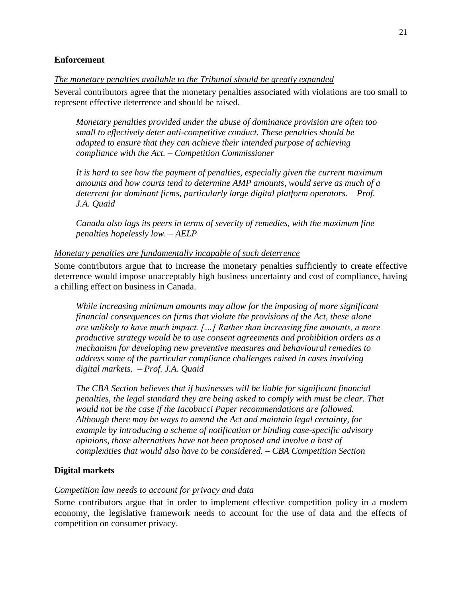## **Enforcement**

## *The monetary penalties available to the Tribunal should be greatly expanded*

Several contributors agree that the monetary penalties associated with violations are too small to represent effective deterrence and should be raised.

*Monetary penalties provided under the abuse of dominance provision are often too small to effectively deter anti-competitive conduct. These penalties should be adapted to ensure that they can achieve their intended purpose of achieving compliance with the Act. – Competition Commissioner* 

*It is hard to see how the payment of penalties, especially given the current maximum amounts and how courts tend to determine AMP amounts, would serve as much of a deterrent for dominant firms, particularly large digital platform operators. – Prof. J.A. Quaid* 

*Canada also lags its peers in terms of severity of remedies, with the maximum fine penalties hopelessly low. – AELP* 

### *Monetary penalties are fundamentally incapable of such deterrence*

Some contributors argue that to increase the monetary penalties sufficiently to create effective deterrence would impose unacceptably high business uncertainty and cost of compliance, having a chilling effect on business in Canada.

*While increasing minimum amounts may allow for the imposing of more significant financial consequences on firms that violate the provisions of the Act, these alone are unlikely to have much impact. […] Rather than increasing fine amounts, a more productive strategy would be to use consent agreements and prohibition orders as a mechanism for developing new preventive measures and behavioural remedies to address some of the particular compliance challenges raised in cases involving digital markets. – Prof. J.A. Quaid*

*The CBA Section believes that if businesses will be liable for significant financial penalties, the legal standard they are being asked to comply with must be clear. That would not be the case if the Iacobucci Paper recommendations are followed. Although there may be ways to amend the Act and maintain legal certainty, for example by introducing a scheme of notification or binding case-specific advisory opinions, those alternatives have not been proposed and involve a host of complexities that would also have to be considered. – CBA Competition Section*

## **Digital markets**

## *Competition law needs to account for privacy and data*

Some contributors argue that in order to implement effective competition policy in a modern economy, the legislative framework needs to account for the use of data and the effects of competition on consumer privacy.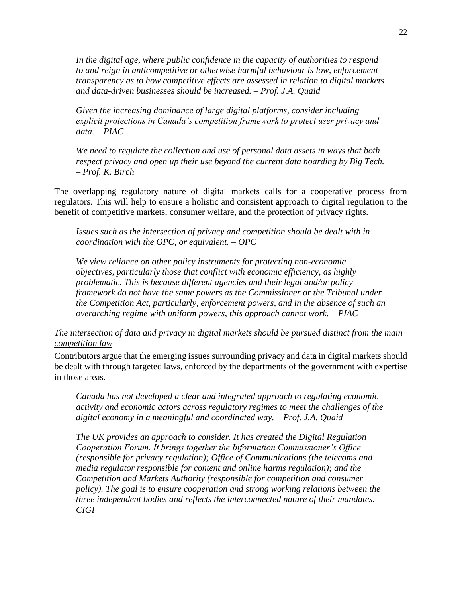*In the digital age, where public confidence in the capacity of authorities to respond to and reign in anticompetitive or otherwise harmful behaviour is low, enforcement transparency as to how competitive effects are assessed in relation to digital markets and data-driven businesses should be increased. – Prof. J.A. Quaid* 

*Given the increasing dominance of large digital platforms, consider including explicit protections in Canada's competition framework to protect user privacy and data. – PIAC* 

*We need to regulate the collection and use of personal data assets in ways that both respect privacy and open up their use beyond the current data hoarding by Big Tech. – Prof. K. Birch*

The overlapping regulatory nature of digital markets calls for a cooperative process from regulators. This will help to ensure a holistic and consistent approach to digital regulation to the benefit of competitive markets, consumer welfare, and the protection of privacy rights.

*Issues such as the intersection of privacy and competition should be dealt with in coordination with the OPC, or equivalent. – OPC* 

*We view reliance on other policy instruments for protecting non-economic objectives, particularly those that conflict with economic efficiency, as highly problematic. This is because different agencies and their legal and/or policy framework do not have the same powers as the Commissioner or the Tribunal under the Competition Act, particularly, enforcement powers, and in the absence of such an overarching regime with uniform powers, this approach cannot work. – PIAC* 

## *The intersection of data and privacy in digital markets should be pursued distinct from the main competition law*

Contributors argue that the emerging issues surrounding privacy and data in digital markets should be dealt with through targeted laws, enforced by the departments of the government with expertise in those areas.

*Canada has not developed a clear and integrated approach to regulating economic activity and economic actors across regulatory regimes to meet the challenges of the digital economy in a meaningful and coordinated way. – Prof. J.A. Quaid* 

*The UK provides an approach to consider. It has created the Digital Regulation Cooperation Forum. It brings together the Information Commissioner's Office (responsible for privacy regulation); Office of Communications (the telecoms and media regulator responsible for content and online harms regulation); and the Competition and Markets Authority (responsible for competition and consumer policy). The goal is to ensure cooperation and strong working relations between the three independent bodies and reflects the interconnected nature of their mandates. – CIGI*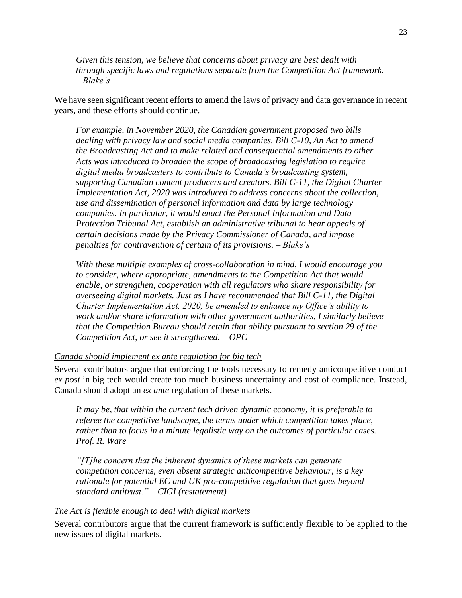*Given this tension, we believe that concerns about privacy are best dealt with through specific laws and regulations separate from the Competition Act framework. – Blake's*

We have seen significant recent efforts to amend the laws of privacy and data governance in recent years, and these efforts should continue.

*For example, in November 2020, the Canadian government proposed two bills dealing with privacy law and social media companies. Bill C-10, An Act to amend the Broadcasting Act and to make related and consequential amendments to other Acts was introduced to broaden the scope of broadcasting legislation to require digital media broadcasters to contribute to Canada's broadcasting system, supporting Canadian content producers and creators. Bill C-11, the Digital Charter Implementation Act, 2020 was introduced to address concerns about the collection, use and dissemination of personal information and data by large technology companies. In particular, it would enact the Personal Information and Data Protection Tribunal Act, establish an administrative tribunal to hear appeals of certain decisions made by the Privacy Commissioner of Canada, and impose penalties for contravention of certain of its provisions. – Blake's*

*With these multiple examples of cross-collaboration in mind, I would encourage you to consider, where appropriate, amendments to the Competition Act that would enable, or strengthen, cooperation with all regulators who share responsibility for overseeing digital markets. Just as I have recommended that Bill C-11, the Digital Charter Implementation Act, 2020, be amended to enhance my Office's ability to work and/or share information with other government authorities, I similarly believe that the Competition Bureau should retain that ability pursuant to section 29 of the Competition Act, or see it strengthened. – OPC* 

## *Canada should implement ex ante regulation for big tech*

Several contributors argue that enforcing the tools necessary to remedy anticompetitive conduct *ex post* in big tech would create too much business uncertainty and cost of compliance. Instead, Canada should adopt an *ex ante* regulation of these markets.

*It may be, that within the current tech driven dynamic economy, it is preferable to referee the competitive landscape, the terms under which competition takes place, rather than to focus in a minute legalistic way on the outcomes of particular cases. – Prof. R. Ware* 

*"[T]he concern that the inherent dynamics of these markets can generate competition concerns, even absent strategic anticompetitive behaviour, is a key rationale for potential EC and UK pro-competitive regulation that goes beyond standard antitrust." – CIGI (restatement)*

#### *The Act is flexible enough to deal with digital markets*

Several contributors argue that the current framework is sufficiently flexible to be applied to the new issues of digital markets.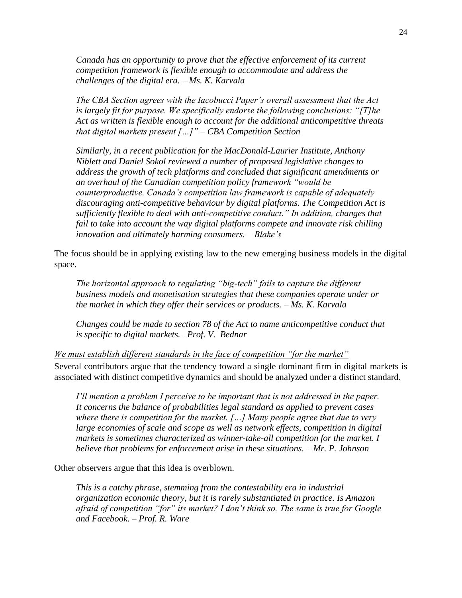*Canada has an opportunity to prove that the effective enforcement of its current competition framework is flexible enough to accommodate and address the challenges of the digital era. – Ms. K. Karvala* 

*The CBA Section agrees with the Iacobucci Paper's overall assessment that the Act is largely fit for purpose. We specifically endorse the following conclusions: "[T]he Act as written is flexible enough to account for the additional anticompetitive threats that digital markets present […]" – CBA Competition Section*

*Similarly, in a recent publication for the MacDonald-Laurier Institute, Anthony Niblett and Daniel Sokol reviewed a number of proposed legislative changes to address the growth of tech platforms and concluded that significant amendments or an overhaul of the Canadian competition policy framework "would be counterproductive. Canada's competition law framework is capable of adequately discouraging anti-competitive behaviour by digital platforms. The Competition Act is sufficiently flexible to deal with anti-competitive conduct." In addition, changes that fail to take into account the way digital platforms compete and innovate risk chilling innovation and ultimately harming consumers. – Blake's* 

The focus should be in applying existing law to the new emerging business models in the digital space.

*The horizontal approach to regulating "big-tech" fails to capture the different business models and monetisation strategies that these companies operate under or the market in which they offer their services or products. – Ms. K. Karvala*

*Changes could be made to section 78 of the Act to name anticompetitive conduct that is specific to digital markets. –Prof. V. Bednar* 

*We must establish different standards in the face of competition "for the market"*

Several contributors argue that the tendency toward a single dominant firm in digital markets is associated with distinct competitive dynamics and should be analyzed under a distinct standard.

*I'll mention a problem I perceive to be important that is not addressed in the paper. It concerns the balance of probabilities legal standard as applied to prevent cases where there is competition for the market. […] Many people agree that due to very large economies of scale and scope as well as network effects, competition in digital markets is sometimes characterized as winner-take-all competition for the market. I believe that problems for enforcement arise in these situations. – Mr. P. Johnson* 

Other observers argue that this idea is overblown.

*This is a catchy phrase, stemming from the contestability era in industrial organization economic theory, but it is rarely substantiated in practice. Is Amazon afraid of competition "for" its market? I don't think so. The same is true for Google and Facebook. – Prof. R. Ware*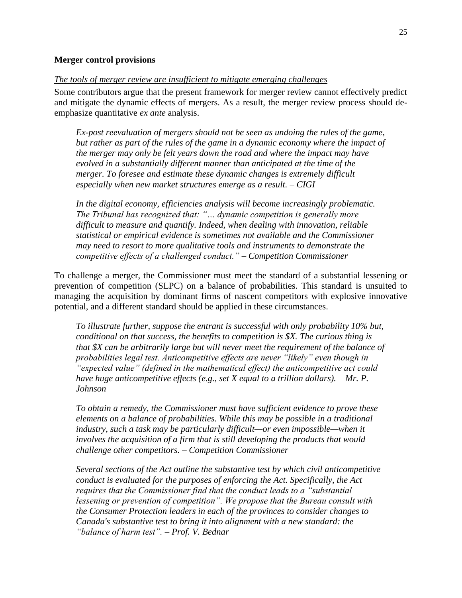## **Merger control provisions**

## *The tools of merger review are insufficient to mitigate emerging challenges*

Some contributors argue that the present framework for merger review cannot effectively predict and mitigate the dynamic effects of mergers. As a result, the merger review process should deemphasize quantitative *ex ante* analysis.

*Ex-post reevaluation of mergers should not be seen as undoing the rules of the game, but rather as part of the rules of the game in a dynamic economy where the impact of the merger may only be felt years down the road and where the impact may have evolved in a substantially different manner than anticipated at the time of the merger. To foresee and estimate these dynamic changes is extremely difficult especially when new market structures emerge as a result. – CIGI* 

*In the digital economy, efficiencies analysis will become increasingly problematic. The Tribunal has recognized that: "… dynamic competition is generally more difficult to measure and quantify. Indeed, when dealing with innovation, reliable statistical or empirical evidence is sometimes not available and the Commissioner may need to resort to more qualitative tools and instruments to demonstrate the competitive effects of a challenged conduct." – Competition Commissioner* 

To challenge a merger, the Commissioner must meet the standard of a substantial lessening or prevention of competition (SLPC) on a balance of probabilities. This standard is unsuited to managing the acquisition by dominant firms of nascent competitors with explosive innovative potential, and a different standard should be applied in these circumstances.

*To illustrate further, suppose the entrant is successful with only probability 10% but, conditional on that success, the benefits to competition is \$X. The curious thing is that \$X can be arbitrarily large but will never meet the requirement of the balance of probabilities legal test. Anticompetitive effects are never "likely" even though in "expected value" (defined in the mathematical effect) the anticompetitive act could have huge anticompetitive effects (e.g., set X equal to a trillion dollars). – Mr. P. Johnson* 

*To obtain a remedy, the Commissioner must have sufficient evidence to prove these elements on a balance of probabilities. While this may be possible in a traditional industry, such a task may be particularly difficult—or even impossible—when it involves the acquisition of a firm that is still developing the products that would challenge other competitors. – Competition Commissioner* 

*Several sections of the Act outline the substantive test by which civil anticompetitive conduct is evaluated for the purposes of enforcing the Act. Specifically, the Act requires that the Commissioner find that the conduct leads to a "substantial lessening or prevention of competition". We propose that the Bureau consult with the Consumer Protection leaders in each of the provinces to consider changes to Canada's substantive test to bring it into alignment with a new standard: the "balance of harm test". – Prof. V. Bednar*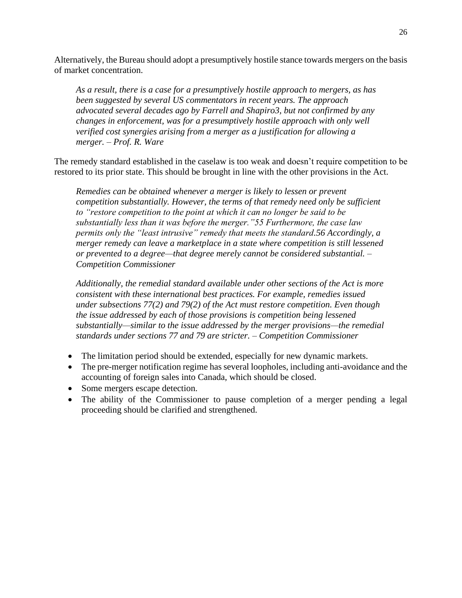Alternatively, the Bureau should adopt a presumptively hostile stance towards mergers on the basis of market concentration.

*As a result, there is a case for a presumptively hostile approach to mergers, as has been suggested by several US commentators in recent years. The approach advocated several decades ago by Farrell and Shapiro3, but not confirmed by any changes in enforcement, was for a presumptively hostile approach with only well verified cost synergies arising from a merger as a justification for allowing a merger. – Prof. R. Ware* 

The remedy standard established in the caselaw is too weak and doesn't require competition to be restored to its prior state. This should be brought in line with the other provisions in the Act.

*Remedies can be obtained whenever a merger is likely to lessen or prevent competition substantially. However, the terms of that remedy need only be sufficient to "restore competition to the point at which it can no longer be said to be substantially less than it was before the merger."55 Furthermore, the case law permits only the "least intrusive" remedy that meets the standard.56 Accordingly, a merger remedy can leave a marketplace in a state where competition is still lessened or prevented to a degree—that degree merely cannot be considered substantial. – Competition Commissioner* 

*Additionally, the remedial standard available under other sections of the Act is more consistent with these international best practices. For example, remedies issued under subsections 77(2) and 79(2) of the Act must restore competition. Even though the issue addressed by each of those provisions is competition being lessened substantially—similar to the issue addressed by the merger provisions—the remedial standards under sections 77 and 79 are stricter. – Competition Commissioner* 

- The limitation period should be extended, especially for new dynamic markets.
- The pre-merger notification regime has several loopholes, including anti-avoidance and the accounting of foreign sales into Canada, which should be closed.
- Some mergers escape detection.
- The ability of the Commissioner to pause completion of a merger pending a legal proceeding should be clarified and strengthened.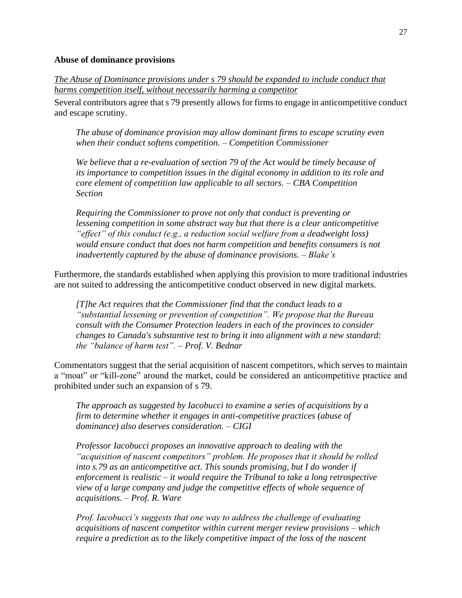#### **Abuse of dominance provisions**

*The Abuse of Dominance provisions under s 79 should be expanded to include conduct that harms competition itself, without necessarily harming a competitor*

Several contributors agree that s 79 presently allows for firms to engage in anticompetitive conduct and escape scrutiny.

*The abuse of dominance provision may allow dominant firms to escape scrutiny even when their conduct softens competition. – Competition Commissioner* 

*We believe that a re-evaluation of section 79 of the Act would be timely because of its importance to competition issues in the digital economy in addition to its role and core element of competition law applicable to all sectors. – CBA Competition Section* 

*Requiring the Commissioner to prove not only that conduct is preventing or lessening competition in some abstract way but that there is a clear anticompetitive "effect" of this conduct (e.g., a reduction social welfare from a deadweight loss) would ensure conduct that does not harm competition and benefits consumers is not inadvertently captured by the abuse of dominance provisions. – Blake's* 

Furthermore, the standards established when applying this provision to more traditional industries are not suited to addressing the anticompetitive conduct observed in new digital markets.

*[T]he Act requires that the Commissioner find that the conduct leads to a "substantial lessening or prevention of competition". We propose that the Bureau consult with the Consumer Protection leaders in each of the provinces to consider changes to Canada's substantive test to bring it into alignment with a new standard: the "balance of harm test". – Prof. V. Bednar*

Commentators suggest that the serial acquisition of nascent competitors, which serves to maintain a "moat" or "kill-zone" around the market, could be considered an anticompetitive practice and prohibited under such an expansion of s 79.

*The approach as suggested by Iacobucci to examine a series of acquisitions by a firm to determine whether it engages in anti-competitive practices (abuse of dominance) also deserves consideration. – CIGI* 

*Professor Iacobucci proposes an innovative approach to dealing with the "acquisition of nascent competitors" problem. He proposes that it should be rolled into s.79 as an anticompetitive act. This sounds promising, but I do wonder if enforcement is realistic – it would require the Tribunal to take a long retrospective view of a large company and judge the competitive effects of whole sequence of acquisitions. – Prof. R. Ware* 

*Prof. Iacobucci's suggests that one way to address the challenge of evaluating acquisitions of nascent competitor within current merger review provisions – which require a prediction as to the likely competitive impact of the loss of the nascent*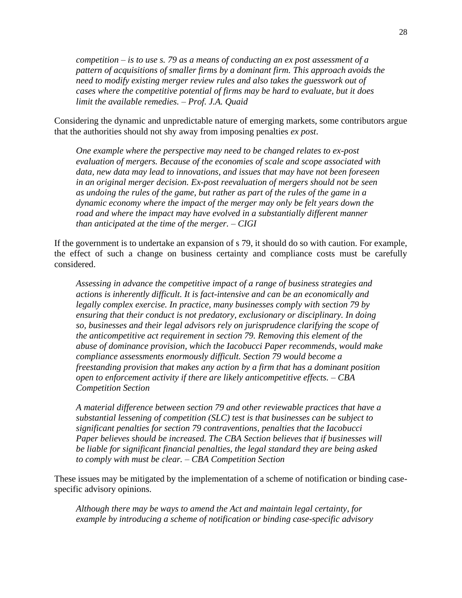*competition – is to use s. 79 as a means of conducting an ex post assessment of a pattern of acquisitions of smaller firms by a dominant firm. This approach avoids the need to modify existing merger review rules and also takes the guesswork out of cases where the competitive potential of firms may be hard to evaluate, but it does limit the available remedies. – Prof. J.A. Quaid*

Considering the dynamic and unpredictable nature of emerging markets, some contributors argue that the authorities should not shy away from imposing penalties *ex post*.

*One example where the perspective may need to be changed relates to ex-post evaluation of mergers. Because of the economies of scale and scope associated with data, new data may lead to innovations, and issues that may have not been foreseen in an original merger decision. Ex-post reevaluation of mergers should not be seen as undoing the rules of the game, but rather as part of the rules of the game in a dynamic economy where the impact of the merger may only be felt years down the road and where the impact may have evolved in a substantially different manner than anticipated at the time of the merger. – CIGI* 

If the government is to undertake an expansion of s 79, it should do so with caution. For example, the effect of such a change on business certainty and compliance costs must be carefully considered.

*Assessing in advance the competitive impact of a range of business strategies and actions is inherently difficult. It is fact-intensive and can be an economically and legally complex exercise. In practice, many businesses comply with section 79 by ensuring that their conduct is not predatory, exclusionary or disciplinary. In doing so, businesses and their legal advisors rely on jurisprudence clarifying the scope of the anticompetitive act requirement in section 79. Removing this element of the abuse of dominance provision, which the Iacobucci Paper recommends, would make compliance assessments enormously difficult. Section 79 would become a freestanding provision that makes any action by a firm that has a dominant position open to enforcement activity if there are likely anticompetitive effects. – CBA Competition Section* 

*A material difference between section 79 and other reviewable practices that have a substantial lessening of competition (SLC) test is that businesses can be subject to significant penalties for section 79 contraventions, penalties that the Iacobucci Paper believes should be increased. The CBA Section believes that if businesses will be liable for significant financial penalties, the legal standard they are being asked to comply with must be clear. – CBA Competition Section* 

These issues may be mitigated by the implementation of a scheme of notification or binding casespecific advisory opinions.

*Although there may be ways to amend the Act and maintain legal certainty, for example by introducing a scheme of notification or binding case-specific advisory*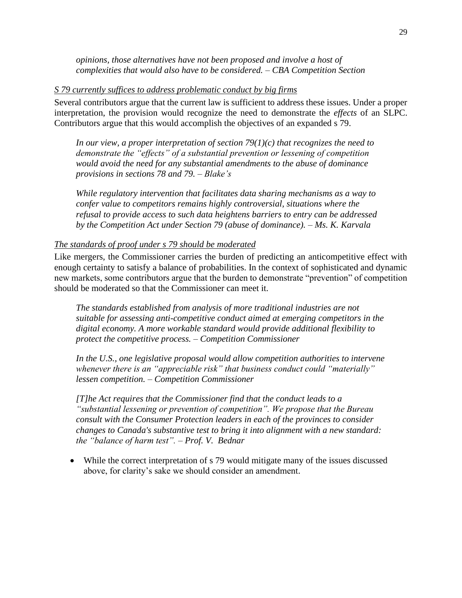*opinions, those alternatives have not been proposed and involve a host of complexities that would also have to be considered. – CBA Competition Section* 

#### *S 79 currently suffices to address problematic conduct by big firms*

Several contributors argue that the current law is sufficient to address these issues. Under a proper interpretation, the provision would recognize the need to demonstrate the *effects* of an SLPC. Contributors argue that this would accomplish the objectives of an expanded s 79.

*In our view, a proper interpretation of section 79(1)(c) that recognizes the need to demonstrate the "effects" of a substantial prevention or lessening of competition would avoid the need for any substantial amendments to the abuse of dominance provisions in sections 78 and 79. – Blake's* 

*While regulatory intervention that facilitates data sharing mechanisms as a way to confer value to competitors remains highly controversial, situations where the refusal to provide access to such data heightens barriers to entry can be addressed by the Competition Act under Section 79 (abuse of dominance). – Ms. K. Karvala* 

## *The standards of proof under s 79 should be moderated*

Like mergers, the Commissioner carries the burden of predicting an anticompetitive effect with enough certainty to satisfy a balance of probabilities. In the context of sophisticated and dynamic new markets, some contributors argue that the burden to demonstrate "prevention" of competition should be moderated so that the Commissioner can meet it.

*The standards established from analysis of more traditional industries are not suitable for assessing anti-competitive conduct aimed at emerging competitors in the digital economy. A more workable standard would provide additional flexibility to protect the competitive process. – Competition Commissioner* 

*In the U.S., one legislative proposal would allow competition authorities to intervene whenever there is an "appreciable risk" that business conduct could "materially" lessen competition. – Competition Commissioner* 

*[T]he Act requires that the Commissioner find that the conduct leads to a "substantial lessening or prevention of competition". We propose that the Bureau consult with the Consumer Protection leaders in each of the provinces to consider changes to Canada's substantive test to bring it into alignment with a new standard: the "balance of harm test". – Prof. V. Bednar* 

• While the correct interpretation of s 79 would mitigate many of the issues discussed above, for clarity's sake we should consider an amendment.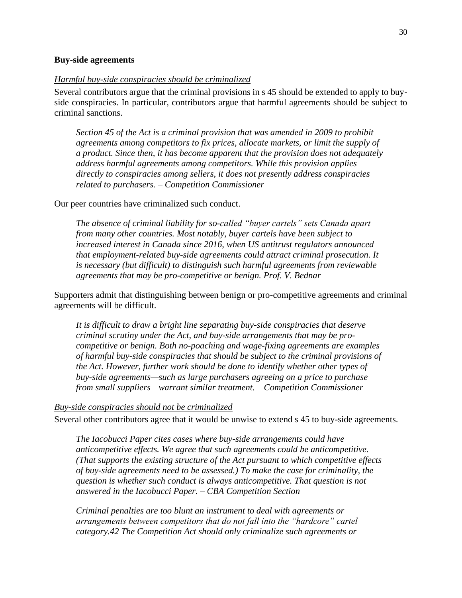#### **Buy-side agreements**

## *Harmful buy-side conspiracies should be criminalized*

Several contributors argue that the criminal provisions in s 45 should be extended to apply to buyside conspiracies. In particular, contributors argue that harmful agreements should be subject to criminal sanctions.

*Section 45 of the Act is a criminal provision that was amended in 2009 to prohibit agreements among competitors to fix prices, allocate markets, or limit the supply of a product. Since then, it has become apparent that the provision does not adequately address harmful agreements among competitors. While this provision applies directly to conspiracies among sellers, it does not presently address conspiracies related to purchasers. – Competition Commissioner* 

## Our peer countries have criminalized such conduct.

*The absence of criminal liability for so-called "buyer cartels" sets Canada apart from many other countries. Most notably, buyer cartels have been subject to increased interest in Canada since 2016, when US antitrust regulators announced that employment-related buy-side agreements could attract criminal prosecution. It is necessary (but difficult) to distinguish such harmful agreements from reviewable agreements that may be pro-competitive or benign. Prof. V. Bednar*

Supporters admit that distinguishing between benign or pro-competitive agreements and criminal agreements will be difficult.

*It is difficult to draw a bright line separating buy-side conspiracies that deserve criminal scrutiny under the Act, and buy-side arrangements that may be procompetitive or benign. Both no-poaching and wage-fixing agreements are examples of harmful buy-side conspiracies that should be subject to the criminal provisions of the Act. However, further work should be done to identify whether other types of buy-side agreements—such as large purchasers agreeing on a price to purchase from small suppliers—warrant similar treatment. – Competition Commissioner* 

### *Buy-side conspiracies should not be criminalized*

Several other contributors agree that it would be unwise to extend s 45 to buy-side agreements.

*The Iacobucci Paper cites cases where buy-side arrangements could have anticompetitive effects. We agree that such agreements could be anticompetitive. (That supports the existing structure of the Act pursuant to which competitive effects of buy-side agreements need to be assessed.) To make the case for criminality, the question is whether such conduct is always anticompetitive. That question is not answered in the Iacobucci Paper. – CBA Competition Section*

*Criminal penalties are too blunt an instrument to deal with agreements or arrangements between competitors that do not fall into the "hardcore" cartel category.42 The Competition Act should only criminalize such agreements or*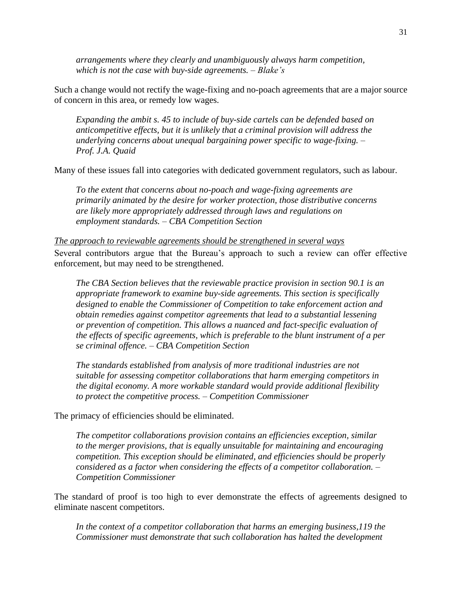*arrangements where they clearly and unambiguously always harm competition, which is not the case with buy-side agreements. – Blake's* 

Such a change would not rectify the wage-fixing and no-poach agreements that are a major source of concern in this area, or remedy low wages.

*Expanding the ambit s. 45 to include of buy-side cartels can be defended based on anticompetitive effects, but it is unlikely that a criminal provision will address the underlying concerns about unequal bargaining power specific to wage-fixing. – Prof. J.A. Quaid* 

Many of these issues fall into categories with dedicated government regulators, such as labour.

*To the extent that concerns about no-poach and wage-fixing agreements are primarily animated by the desire for worker protection, those distributive concerns are likely more appropriately addressed through laws and regulations on employment standards. – CBA Competition Section* 

*The approach to reviewable agreements should be strengthened in several ways*

Several contributors argue that the Bureau's approach to such a review can offer effective enforcement, but may need to be strengthened.

*The CBA Section believes that the reviewable practice provision in section 90.1 is an appropriate framework to examine buy-side agreements. This section is specifically designed to enable the Commissioner of Competition to take enforcement action and obtain remedies against competitor agreements that lead to a substantial lessening or prevention of competition. This allows a nuanced and fact-specific evaluation of the effects of specific agreements, which is preferable to the blunt instrument of a per se criminal offence. – CBA Competition Section*

*The standards established from analysis of more traditional industries are not suitable for assessing competitor collaborations that harm emerging competitors in the digital economy. A more workable standard would provide additional flexibility to protect the competitive process. – Competition Commissioner* 

The primacy of efficiencies should be eliminated.

*The competitor collaborations provision contains an efficiencies exception, similar to the merger provisions, that is equally unsuitable for maintaining and encouraging competition. This exception should be eliminated, and efficiencies should be properly considered as a factor when considering the effects of a competitor collaboration. – Competition Commissioner* 

The standard of proof is too high to ever demonstrate the effects of agreements designed to eliminate nascent competitors.

*In the context of a competitor collaboration that harms an emerging business,119 the Commissioner must demonstrate that such collaboration has halted the development*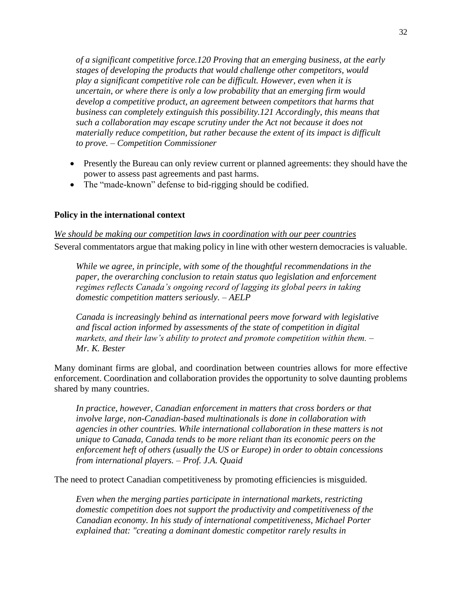*of a significant competitive force.120 Proving that an emerging business, at the early stages of developing the products that would challenge other competitors, would play a significant competitive role can be difficult. However, even when it is uncertain, or where there is only a low probability that an emerging firm would develop a competitive product, an agreement between competitors that harms that business can completely extinguish this possibility.121 Accordingly, this means that such a collaboration may escape scrutiny under the Act not because it does not materially reduce competition, but rather because the extent of its impact is difficult to prove. – Competition Commissioner* 

- Presently the Bureau can only review current or planned agreements: they should have the power to assess past agreements and past harms.
- The "made-known" defense to bid-rigging should be codified.

#### **Policy in the international context**

# *We should be making our competition laws in coordination with our peer countries*

Several commentators argue that making policy in line with other western democracies is valuable.

*While we agree, in principle, with some of the thoughtful recommendations in the paper, the overarching conclusion to retain status quo legislation and enforcement regimes reflects Canada's ongoing record of lagging its global peers in taking domestic competition matters seriously. – AELP*

*Canada is increasingly behind as international peers move forward with legislative and fiscal action informed by assessments of the state of competition in digital markets, and their law's ability to protect and promote competition within them. – Mr. K. Bester* 

Many dominant firms are global, and coordination between countries allows for more effective enforcement. Coordination and collaboration provides the opportunity to solve daunting problems shared by many countries.

*In practice, however, Canadian enforcement in matters that cross borders or that involve large, non-Canadian-based multinationals is done in collaboration with agencies in other countries. While international collaboration in these matters is not unique to Canada, Canada tends to be more reliant than its economic peers on the enforcement heft of others (usually the US or Europe) in order to obtain concessions from international players. – Prof. J.A. Quaid* 

The need to protect Canadian competitiveness by promoting efficiencies is misguided.

*Even when the merging parties participate in international markets, restricting domestic competition does not support the productivity and competitiveness of the Canadian economy. In his study of international competitiveness, Michael Porter explained that: "creating a dominant domestic competitor rarely results in*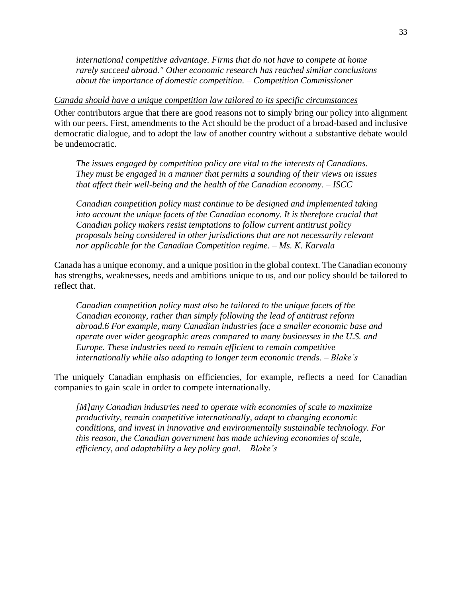*international competitive advantage. Firms that do not have to compete at home rarely succeed abroad." Other economic research has reached similar conclusions about the importance of domestic competition. – Competition Commissioner* 

## *Canada should have a unique competition law tailored to its specific circumstances*

Other contributors argue that there are good reasons not to simply bring our policy into alignment with our peers. First, amendments to the Act should be the product of a broad-based and inclusive democratic dialogue, and to adopt the law of another country without a substantive debate would be undemocratic.

*The issues engaged by competition policy are vital to the interests of Canadians. They must be engaged in a manner that permits a sounding of their views on issues that affect their well-being and the health of the Canadian economy. – ISCC* 

*Canadian competition policy must continue to be designed and implemented taking into account the unique facets of the Canadian economy. It is therefore crucial that Canadian policy makers resist temptations to follow current antitrust policy proposals being considered in other jurisdictions that are not necessarily relevant nor applicable for the Canadian Competition regime. – Ms. K. Karvala* 

Canada has a unique economy, and a unique position in the global context. The Canadian economy has strengths, weaknesses, needs and ambitions unique to us, and our policy should be tailored to reflect that.

*Canadian competition policy must also be tailored to the unique facets of the Canadian economy, rather than simply following the lead of antitrust reform abroad.6 For example, many Canadian industries face a smaller economic base and operate over wider geographic areas compared to many businesses in the U.S. and Europe. These industries need to remain efficient to remain competitive internationally while also adapting to longer term economic trends. – Blake's* 

The uniquely Canadian emphasis on efficiencies, for example, reflects a need for Canadian companies to gain scale in order to compete internationally.

*[M]any Canadian industries need to operate with economies of scale to maximize productivity, remain competitive internationally, adapt to changing economic conditions, and invest in innovative and environmentally sustainable technology. For this reason, the Canadian government has made achieving economies of scale, efficiency, and adaptability a key policy goal. – Blake's*